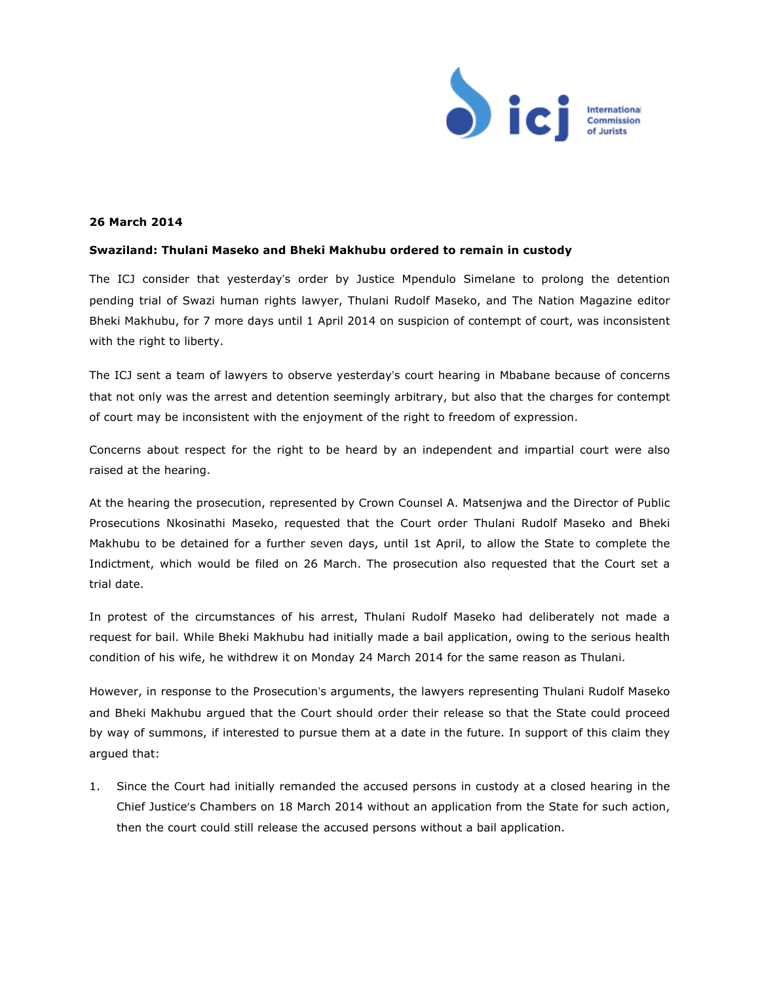

## **26 March 2014**

## **Swaziland: Thulani Maseko and Bheki Makhubu ordered to remain in custody**

The ICJ consider that yesterday's order by Justice Mpendulo Simelane to prolong the detention pending trial of Swazi human rights lawyer, Thulani Rudolf Maseko, and The Nation Magazine editor Bheki Makhubu, for 7 more days until 1 April 2014 on suspicion of contempt of court, was inconsistent with the right to liberty.

The ICJ sent a team of lawyers to observe yesterday's court hearing in Mbabane because of concerns that not only was the arrest and detention seemingly arbitrary, but also that the charges for contempt of court may be inconsistent with the enjoyment of the right to freedom of expression.

Concerns about respect for the right to be heard by an independent and impartial court were also raised at the hearing.

At the hearing the prosecution, represented by Crown Counsel A. Matsenjwa and the Director of Public Prosecutions Nkosinathi Maseko, requested that the Court order Thulani Rudolf Maseko and Bheki Makhubu to be detained for a further seven days, until 1st April, to allow the State to complete the Indictment, which would be filed on 26 March. The prosecution also requested that the Court set a trial date.

In protest of the circumstances of his arrest, Thulani Rudolf Maseko had deliberately not made a request for bail. While Bheki Makhubu had initially made a bail application, owing to the serious health condition of his wife, he withdrew it on Monday 24 March 2014 for the same reason as Thulani.

However, in response to the Prosecution's arguments, the lawyers representing Thulani Rudolf Maseko and Bheki Makhubu argued that the Court should order their release so that the State could proceed by way of summons, if interested to pursue them at a date in the future. In support of this claim they argued that:

1. Since the Court had initially remanded the accused persons in custody at a closed hearing in the Chief Justice's Chambers on 18 March 2014 without an application from the State for such action, then the court could still release the accused persons without a bail application.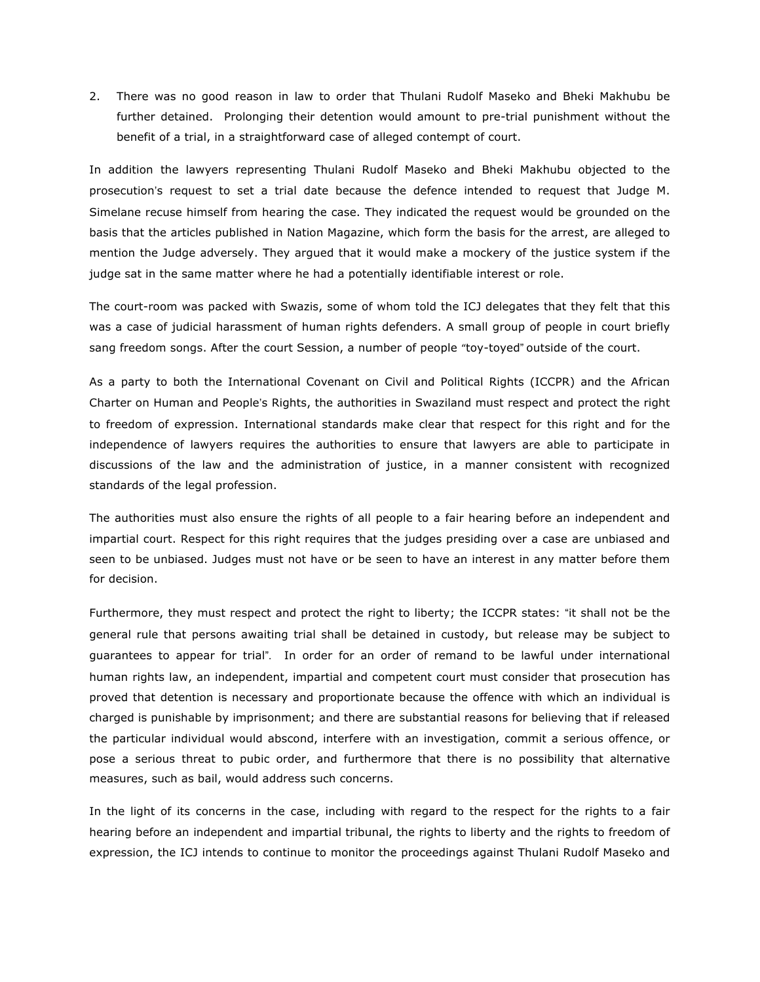2. There was no good reason in law to order that Thulani Rudolf Maseko and Bheki Makhubu be further detained. Prolonging their detention would amount to pre-trial punishment without the benefit of a trial, in a straightforward case of alleged contempt of court.

In addition the lawyers representing Thulani Rudolf Maseko and Bheki Makhubu objected to the prosecution's request to set a trial date because the defence intended to request that Judge M. Simelane recuse himself from hearing the case. They indicated the request would be grounded on the basis that the articles published in Nation Magazine, which form the basis for the arrest, are alleged to mention the Judge adversely. They argued that it would make a mockery of the justice system if the judge sat in the same matter where he had a potentially identifiable interest or role.

The court-room was packed with Swazis, some of whom told the ICJ delegates that they felt that this was a case of judicial harassment of human rights defenders. A small group of people in court briefly sang freedom songs. After the court Session, a number of people "toy-toyed" outside of the court.

As a party to both the International Covenant on Civil and Political Rights (ICCPR) and the African Charter on Human and People's Rights, the authorities in Swaziland must respect and protect the right to freedom of expression. International standards make clear that respect for this right and for the independence of lawyers requires the authorities to ensure that lawyers are able to participate in discussions of the law and the administration of justice, in a manner consistent with recognized standards of the legal profession.

The authorities must also ensure the rights of all people to a fair hearing before an independent and impartial court. Respect for this right requires that the judges presiding over a case are unbiased and seen to be unbiased. Judges must not have or be seen to have an interest in any matter before them for decision.

Furthermore, they must respect and protect the right to liberty; the ICCPR states: "it shall not be the general rule that persons awaiting trial shall be detained in custody, but release may be subject to guarantees to appear for trial". In order for an order of remand to be lawful under international human rights law, an independent, impartial and competent court must consider that prosecution has proved that detention is necessary and proportionate because the offence with which an individual is charged is punishable by imprisonment; and there are substantial reasons for believing that if released the particular individual would abscond, interfere with an investigation, commit a serious offence, or pose a serious threat to pubic order, and furthermore that there is no possibility that alternative measures, such as bail, would address such concerns.

In the light of its concerns in the case, including with regard to the respect for the rights to a fair hearing before an independent and impartial tribunal, the rights to liberty and the rights to freedom of expression, the ICJ intends to continue to monitor the proceedings against Thulani Rudolf Maseko and